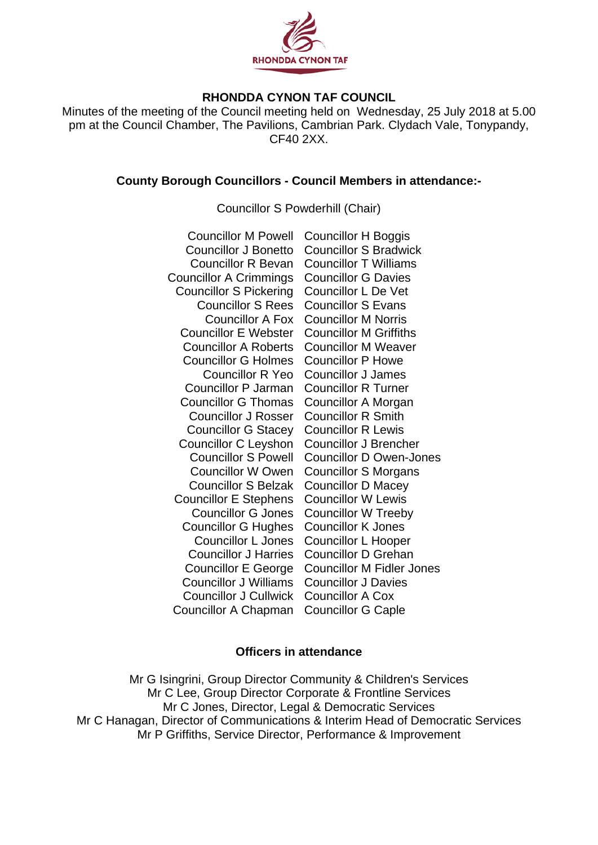

## **RHONDDA CYNON TAF COUNCIL**

Minutes of the meeting of the Council meeting held on Wednesday, 25 July 2018 at 5.00 pm at the Council Chamber, The Pavilions, Cambrian Park. Clydach Vale, Tonypandy, CF40 2XX.

#### **County Borough Councillors - Council Members in attendance:-**

Councillor S Powderhill (Chair)

| <b>Councillor M Powell</b>    | <b>Councillor H Boggis</b>       |
|-------------------------------|----------------------------------|
| <b>Councillor J Bonetto</b>   | <b>Councillor S Bradwick</b>     |
| <b>Councillor R Bevan</b>     | <b>Councillor T Williams</b>     |
| <b>Councillor A Crimmings</b> | <b>Councillor G Davies</b>       |
| <b>Councillor S Pickering</b> | <b>Councillor L De Vet</b>       |
| <b>Councillor S Rees</b>      | <b>Councillor S Evans</b>        |
| <b>Councillor A Fox</b>       | <b>Councillor M Norris</b>       |
| <b>Councillor E Webster</b>   | <b>Councillor M Griffiths</b>    |
| <b>Councillor A Roberts</b>   | <b>Councillor M Weaver</b>       |
| <b>Councillor G Holmes</b>    | <b>Councillor P Howe</b>         |
| <b>Councillor R Yeo</b>       | <b>Councillor J James</b>        |
| <b>Councillor P Jarman</b>    | <b>Councillor R Turner</b>       |
| <b>Councillor G Thomas</b>    | Councillor A Morgan              |
| <b>Councillor J Rosser</b>    | <b>Councillor R Smith</b>        |
| <b>Councillor G Stacey</b>    | <b>Councillor R Lewis</b>        |
| <b>Councillor C Leyshon</b>   | <b>Councillor J Brencher</b>     |
| <b>Councillor S Powell</b>    | <b>Councillor D Owen-Jones</b>   |
| <b>Councillor W Owen</b>      | <b>Councillor S Morgans</b>      |
| <b>Councillor S Belzak</b>    | <b>Councillor D Macey</b>        |
| <b>Councillor E Stephens</b>  | <b>Councillor W Lewis</b>        |
| <b>Councillor G Jones</b>     | <b>Councillor W Treeby</b>       |
| <b>Councillor G Hughes</b>    | <b>Councillor K Jones</b>        |
| <b>Councillor L Jones</b>     | <b>Councillor L Hooper</b>       |
| <b>Councillor J Harries</b>   | <b>Councillor D Grehan</b>       |
| <b>Councillor E George</b>    | <b>Councillor M Fidler Jones</b> |
| <b>Councillor J Williams</b>  | <b>Councillor J Davies</b>       |
| <b>Councillor J Cullwick</b>  | <b>Councillor A Cox</b>          |
| <b>Councillor A Chapman</b>   | <b>Councillor G Caple</b>        |

### **Officers in attendance**

Mr G Isingrini, Group Director Community & Children's Services Mr C Lee, Group Director Corporate & Frontline Services Mr C Jones, Director, Legal & Democratic Services Mr C Hanagan, Director of Communications & Interim Head of Democratic Services Mr P Griffiths, Service Director, Performance & Improvement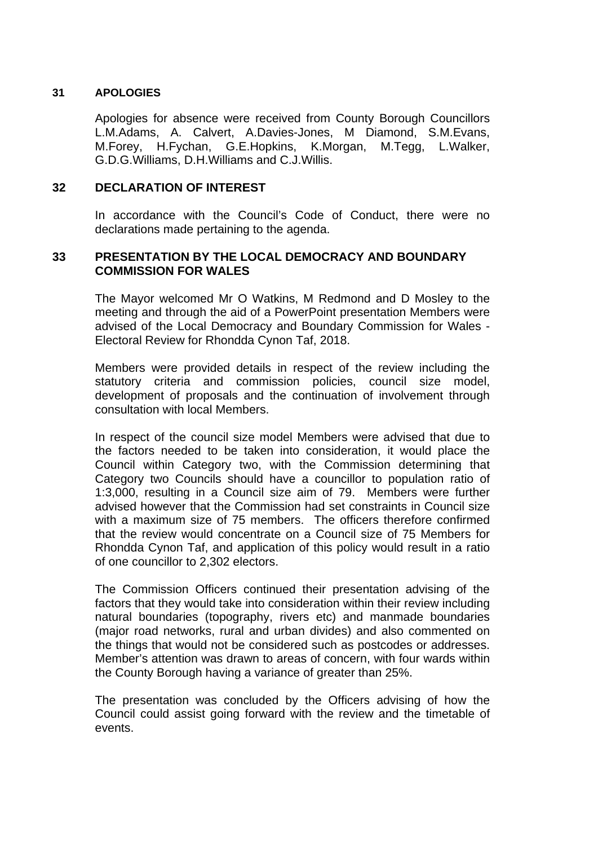### **31 APOLOGIES**

Apologies for absence were received from County Borough Councillors L.M.Adams, A. Calvert, A.Davies-Jones, M Diamond, S.M.Evans, M.Forey, H.Fychan, G.E.Hopkins, K.Morgan, M.Tegg, L.Walker, G.D.G.Williams, D.H.Williams and C.J.Willis.

## **32 DECLARATION OF INTEREST**

In accordance with the Council's Code of Conduct, there were no declarations made pertaining to the agenda.

## **33 PRESENTATION BY THE LOCAL DEMOCRACY AND BOUNDARY COMMISSION FOR WALES**

The Mayor welcomed Mr O Watkins, M Redmond and D Mosley to the meeting and through the aid of a PowerPoint presentation Members were advised of the Local Democracy and Boundary Commission for Wales - Electoral Review for Rhondda Cynon Taf, 2018.

Members were provided details in respect of the review including the statutory criteria and commission policies, council size model, development of proposals and the continuation of involvement through consultation with local Members.

In respect of the council size model Members were advised that due to the factors needed to be taken into consideration, it would place the Council within Category two, with the Commission determining that Category two Councils should have a councillor to population ratio of 1:3,000, resulting in a Council size aim of 79. Members were further advised however that the Commission had set constraints in Council size with a maximum size of 75 members. The officers therefore confirmed that the review would concentrate on a Council size of 75 Members for Rhondda Cynon Taf, and application of this policy would result in a ratio of one councillor to 2,302 electors.

The Commission Officers continued their presentation advising of the factors that they would take into consideration within their review including natural boundaries (topography, rivers etc) and manmade boundaries (major road networks, rural and urban divides) and also commented on the things that would not be considered such as postcodes or addresses. Member's attention was drawn to areas of concern, with four wards within the County Borough having a variance of greater than 25%.

The presentation was concluded by the Officers advising of how the Council could assist going forward with the review and the timetable of events.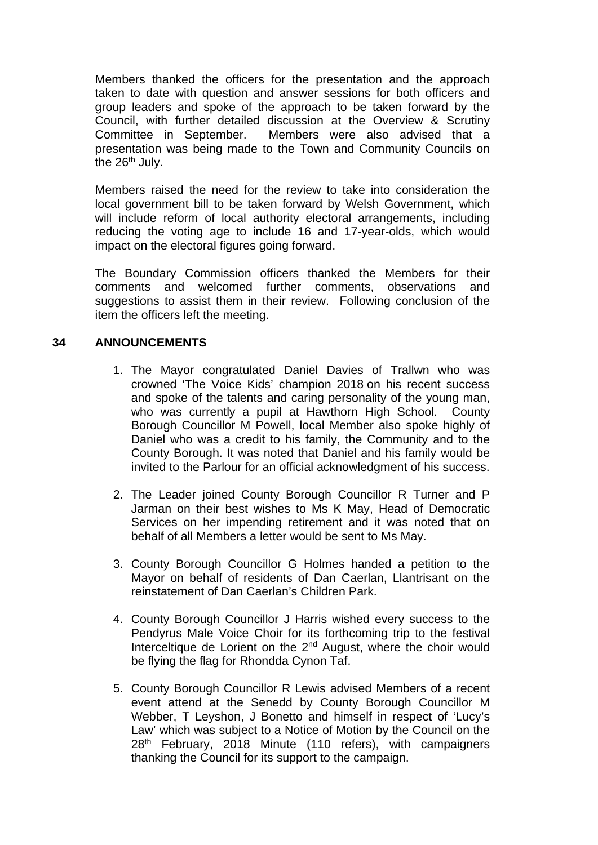Members thanked the officers for the presentation and the approach taken to date with question and answer sessions for both officers and group leaders and spoke of the approach to be taken forward by the Council, with further detailed discussion at the Overview & Scrutiny Committee in September. Members were also advised that a presentation was being made to the Town and Community Councils on the  $26<sup>th</sup>$  July.

Members raised the need for the review to take into consideration the local government bill to be taken forward by Welsh Government, which will include reform of local authority electoral arrangements, including reducing the voting age to include 16 and 17-year-olds, which would impact on the electoral figures going forward.

The Boundary Commission officers thanked the Members for their comments and welcomed further comments, observations and suggestions to assist them in their review. Following conclusion of the item the officers left the meeting.

# **34 ANNOUNCEMENTS**

- 1. The Mayor congratulated Daniel Davies of Trallwn who was crowned 'The Voice Kids' champion 2018 on his recent success and spoke of the talents and caring personality of the young man, who was currently a pupil at Hawthorn High School. County Borough Councillor M Powell, local Member also spoke highly of Daniel who was a credit to his family, the Community and to the County Borough. It was noted that Daniel and his family would be invited to the Parlour for an official acknowledgment of his success.
- 2. The Leader joined County Borough Councillor R Turner and P Jarman on their best wishes to Ms K May, Head of Democratic Services on her impending retirement and it was noted that on behalf of all Members a letter would be sent to Ms May.
- 3. County Borough Councillor G Holmes handed a petition to the Mayor on behalf of residents of Dan Caerlan, Llantrisant on the reinstatement of Dan Caerlan's Children Park.
- 4. County Borough Councillor J Harris wished every success to the Pendyrus Male Voice Choir for its forthcoming trip to the festival Interceltique de Lorient on the 2<sup>nd</sup> August, where the choir would be flying the flag for Rhondda Cynon Taf.
- 5. County Borough Councillor R Lewis advised Members of a recent event attend at the Senedd by County Borough Councillor M Webber, T Leyshon, J Bonetto and himself in respect of 'Lucy's Law' which was subject to a Notice of Motion by the Council on the 28<sup>th</sup> February, 2018 Minute (110 refers), with campaigners thanking the Council for its support to the campaign.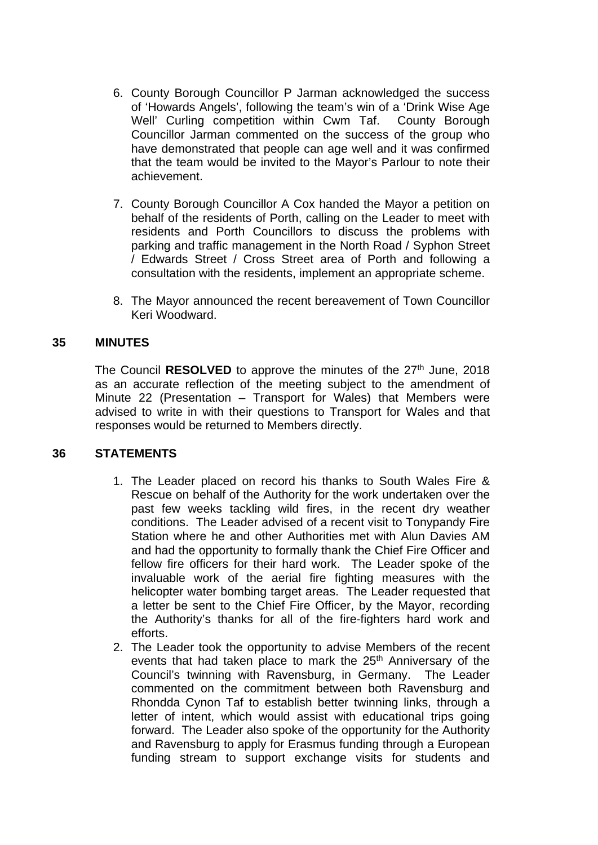- 6. County Borough Councillor P Jarman acknowledged the success of 'Howards Angels', following the team's win of a 'Drink Wise Age Well' Curling competition within Cwm Taf. County Borough Councillor Jarman commented on the success of the group who have demonstrated that people can age well and it was confirmed that the team would be invited to the Mayor's Parlour to note their achievement.
- 7. County Borough Councillor A Cox handed the Mayor a petition on behalf of the residents of Porth, calling on the Leader to meet with residents and Porth Councillors to discuss the problems with parking and traffic management in the North Road / Syphon Street / Edwards Street / Cross Street area of Porth and following a consultation with the residents, implement an appropriate scheme.
- 8. The Mayor announced the recent bereavement of Town Councillor Keri Woodward.

## **35 MINUTES**

The Council **RESOLVED** to approve the minutes of the 27<sup>th</sup> June, 2018 as an accurate reflection of the meeting subject to the amendment of Minute 22 (Presentation – Transport for Wales) that Members were advised to write in with their questions to Transport for Wales and that responses would be returned to Members directly.

### **36 STATEMENTS**

- 1. The Leader placed on record his thanks to South Wales Fire & Rescue on behalf of the Authority for the work undertaken over the past few weeks tackling wild fires, in the recent dry weather conditions. The Leader advised of a recent visit to Tonypandy Fire Station where he and other Authorities met with Alun Davies AM and had the opportunity to formally thank the Chief Fire Officer and fellow fire officers for their hard work. The Leader spoke of the invaluable work of the aerial fire fighting measures with the helicopter water bombing target areas. The Leader requested that a letter be sent to the Chief Fire Officer, by the Mayor, recording the Authority's thanks for all of the fire-fighters hard work and efforts.
- 2. The Leader took the opportunity to advise Members of the recent events that had taken place to mark the 25<sup>th</sup> Anniversary of the Council's twinning with Ravensburg, in Germany. The Leader commented on the commitment between both Ravensburg and Rhondda Cynon Taf to establish better twinning links, through a letter of intent, which would assist with educational trips going forward. The Leader also spoke of the opportunity for the Authority and Ravensburg to apply for Erasmus funding through a European funding stream to support exchange visits for students and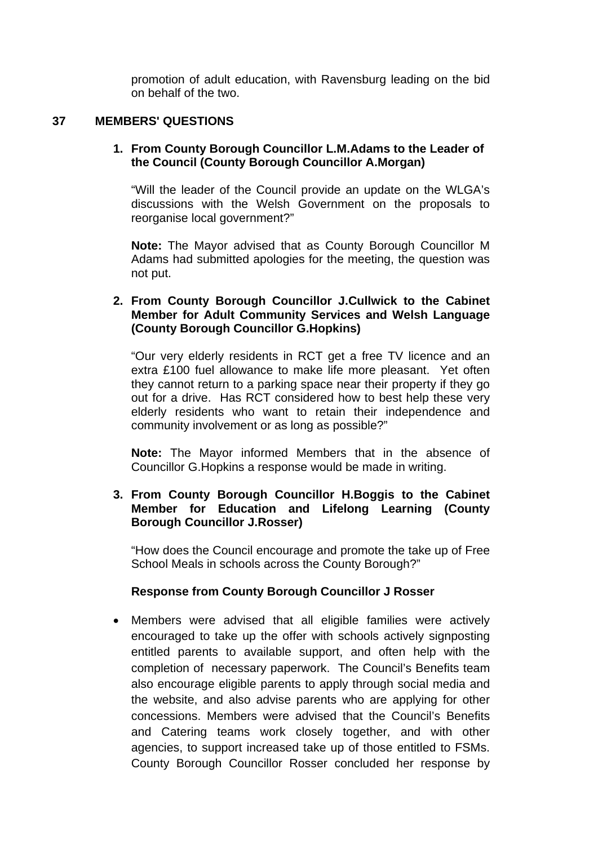promotion of adult education, with Ravensburg leading on the bid on behalf of the two.

# **37 MEMBERS' QUESTIONS**

### **1. From County Borough Councillor L.M.Adams to the Leader of the Council (County Borough Councillor A.Morgan)**

"Will the leader of the Council provide an update on the WLGA's discussions with the Welsh Government on the proposals to reorganise local government?"

**Note:** The Mayor advised that as County Borough Councillor M Adams had submitted apologies for the meeting, the question was not put.

### **2. From County Borough Councillor J.Cullwick to the Cabinet Member for Adult Community Services and Welsh Language (County Borough Councillor G.Hopkins)**

"Our very elderly residents in RCT get a free TV licence and an extra £100 fuel allowance to make life more pleasant. Yet often they cannot return to a parking space near their property if they go out for a drive. Has RCT considered how to best help these very elderly residents who want to retain their independence and community involvement or as long as possible?"

**Note:** The Mayor informed Members that in the absence of Councillor G.Hopkins a response would be made in writing.

# **3. From County Borough Councillor H.Boggis to the Cabinet Member for Education and Lifelong Learning (County Borough Councillor J.Rosser)**

"How does the Council encourage and promote the take up of Free School Meals in schools across the County Borough?"

## **Response from County Borough Councillor J Rosser**

• Members were advised that all eligible families were actively encouraged to take up the offer with schools actively signposting entitled parents to available support, and often help with the completion of necessary paperwork. The Council's Benefits team also encourage eligible parents to apply through social media and the website, and also advise parents who are applying for other concessions. Members were advised that the Council's Benefits and Catering teams work closely together, and with other agencies, to support increased take up of those entitled to FSMs. County Borough Councillor Rosser concluded her response by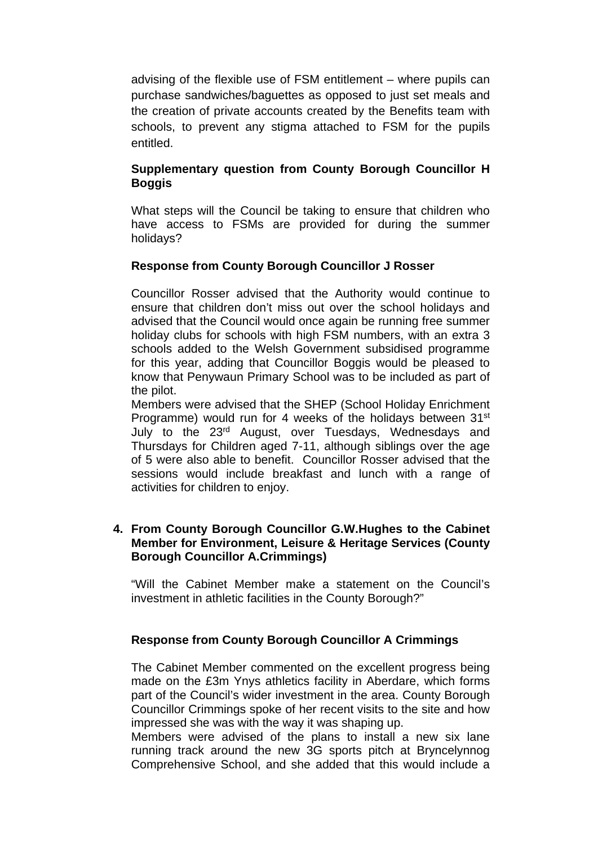advising of the flexible use of FSM entitlement – where pupils can purchase sandwiches/baguettes as opposed to just set meals and the creation of private accounts created by the Benefits team with schools, to prevent any stigma attached to FSM for the pupils entitled.

# **Supplementary question from County Borough Councillor H Boggis**

What steps will the Council be taking to ensure that children who have access to FSMs are provided for during the summer holidays?

# **Response from County Borough Councillor J Rosser**

Councillor Rosser advised that the Authority would continue to ensure that children don't miss out over the school holidays and advised that the Council would once again be running free summer holiday clubs for schools with high FSM numbers, with an extra 3 schools added to the Welsh Government subsidised programme for this year, adding that Councillor Boggis would be pleased to know that Penywaun Primary School was to be included as part of the pilot.

Members were advised that the SHEP (School Holiday Enrichment Programme) would run for 4 weeks of the holidays between 31<sup>st</sup> July to the 23<sup>rd</sup> August, over Tuesdays, Wednesdays and Thursdays for Children aged 7-11, although siblings over the age of 5 were also able to benefit. Councillor Rosser advised that the sessions would include breakfast and lunch with a range of activities for children to enjoy.

# **4. From County Borough Councillor G.W.Hughes to the Cabinet Member for Environment, Leisure & Heritage Services (County Borough Councillor A.Crimmings)**

"Will the Cabinet Member make a statement on the Council's investment in athletic facilities in the County Borough?"

# **Response from County Borough Councillor A Crimmings**

The Cabinet Member commented on the excellent progress being made on the £3m Ynys athletics facility in Aberdare, which forms part of the Council's wider investment in the area. County Borough Councillor Crimmings spoke of her recent visits to the site and how impressed she was with the way it was shaping up.

Members were advised of the plans to install a new six lane running track around the new 3G sports pitch at Bryncelynnog Comprehensive School, and she added that this would include a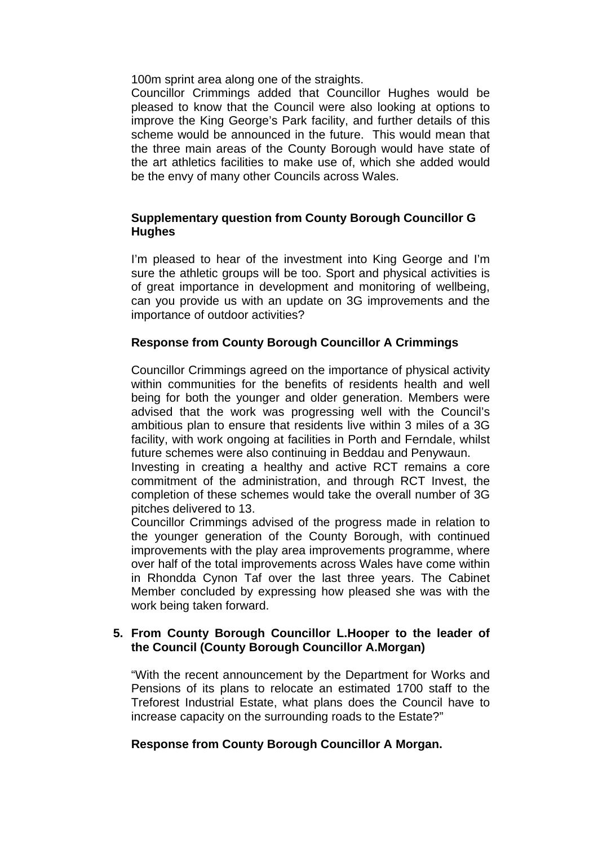100m sprint area along one of the straights.

Councillor Crimmings added that Councillor Hughes would be pleased to know that the Council were also looking at options to improve the King George's Park facility, and further details of this scheme would be announced in the future. This would mean that the three main areas of the County Borough would have state of the art athletics facilities to make use of, which she added would be the envy of many other Councils across Wales.

# **Supplementary question from County Borough Councillor G Hughes**

I'm pleased to hear of the investment into King George and I'm sure the athletic groups will be too. Sport and physical activities is of great importance in development and monitoring of wellbeing, can you provide us with an update on 3G improvements and the importance of outdoor activities?

# **Response from County Borough Councillor A Crimmings**

Councillor Crimmings agreed on the importance of physical activity within communities for the benefits of residents health and well being for both the younger and older generation. Members were advised that the work was progressing well with the Council's ambitious plan to ensure that residents live within 3 miles of a 3G facility, with work ongoing at facilities in Porth and Ferndale, whilst future schemes were also continuing in Beddau and Penywaun.

Investing in creating a healthy and active RCT remains a core commitment of the administration, and through RCT Invest, the completion of these schemes would take the overall number of 3G pitches delivered to 13.

Councillor Crimmings advised of the progress made in relation to the younger generation of the County Borough, with continued improvements with the play area improvements programme, where over half of the total improvements across Wales have come within in Rhondda Cynon Taf over the last three years. The Cabinet Member concluded by expressing how pleased she was with the work being taken forward.

# **5. From County Borough Councillor L.Hooper to the leader of the Council (County Borough Councillor A.Morgan)**

"With the recent announcement by the Department for Works and Pensions of its plans to relocate an estimated 1700 staff to the Treforest Industrial Estate, what plans does the Council have to increase capacity on the surrounding roads to the Estate?"

# **Response from County Borough Councillor A Morgan.**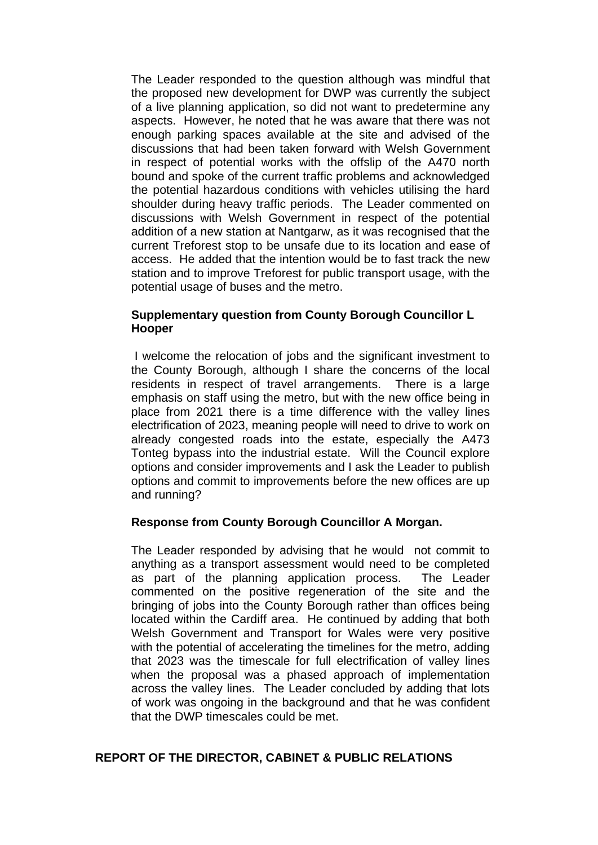The Leader responded to the question although was mindful that the proposed new development for DWP was currently the subject of a live planning application, so did not want to predetermine any aspects. However, he noted that he was aware that there was not enough parking spaces available at the site and advised of the discussions that had been taken forward with Welsh Government in respect of potential works with the offslip of the A470 north bound and spoke of the current traffic problems and acknowledged the potential hazardous conditions with vehicles utilising the hard shoulder during heavy traffic periods. The Leader commented on discussions with Welsh Government in respect of the potential addition of a new station at Nantgarw, as it was recognised that the current Treforest stop to be unsafe due to its location and ease of access. He added that the intention would be to fast track the new station and to improve Treforest for public transport usage, with the potential usage of buses and the metro.

### **Supplementary question from County Borough Councillor L Hooper**

I welcome the relocation of jobs and the significant investment to the County Borough, although I share the concerns of the local residents in respect of travel arrangements. There is a large emphasis on staff using the metro, but with the new office being in place from 2021 there is a time difference with the valley lines electrification of 2023, meaning people will need to drive to work on already congested roads into the estate, especially the A473 Tonteg bypass into the industrial estate. Will the Council explore options and consider improvements and I ask the Leader to publish options and commit to improvements before the new offices are up and running?

### **Response from County Borough Councillor A Morgan.**

The Leader responded by advising that he would not commit to anything as a transport assessment would need to be completed as part of the planning application process. The Leader commented on the positive regeneration of the site and the bringing of jobs into the County Borough rather than offices being located within the Cardiff area. He continued by adding that both Welsh Government and Transport for Wales were very positive with the potential of accelerating the timelines for the metro, adding that 2023 was the timescale for full electrification of valley lines when the proposal was a phased approach of implementation across the valley lines. The Leader concluded by adding that lots of work was ongoing in the background and that he was confident that the DWP timescales could be met.

### **REPORT OF THE DIRECTOR, CABINET & PUBLIC RELATIONS**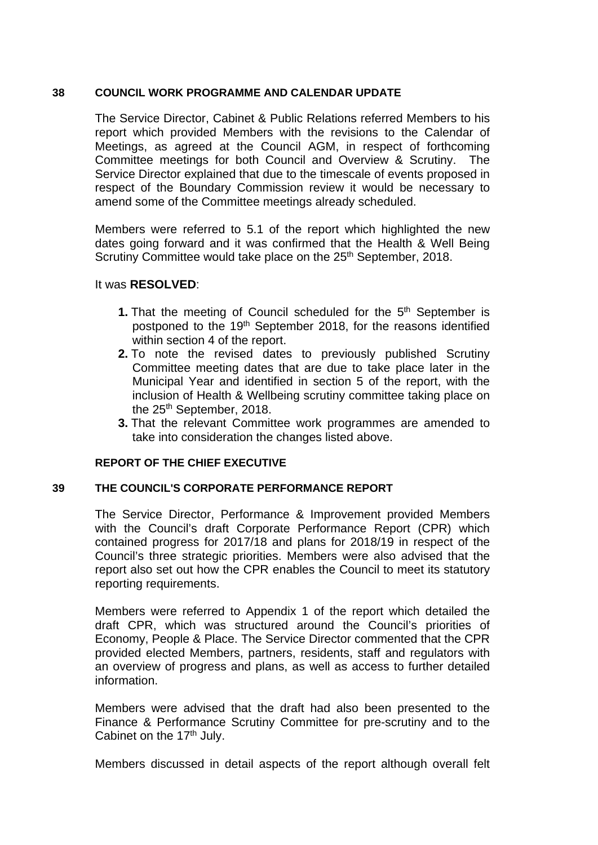### **38 COUNCIL WORK PROGRAMME AND CALENDAR UPDATE**

The Service Director, Cabinet & Public Relations referred Members to his report which provided Members with the revisions to the Calendar of Meetings, as agreed at the Council AGM, in respect of forthcoming Committee meetings for both Council and Overview & Scrutiny. The Service Director explained that due to the timescale of events proposed in respect of the Boundary Commission review it would be necessary to amend some of the Committee meetings already scheduled.

Members were referred to 5.1 of the report which highlighted the new dates going forward and it was confirmed that the Health & Well Being Scrutiny Committee would take place on the 25<sup>th</sup> September, 2018.

### It was **RESOLVED**:

- 1. That the meeting of Council scheduled for the 5<sup>th</sup> September is postponed to the 19th September 2018, for the reasons identified within section 4 of the report.
- **2.** To note the revised dates to previously published Scrutiny Committee meeting dates that are due to take place later in the Municipal Year and identified in section 5 of the report, with the inclusion of Health & Wellbeing scrutiny committee taking place on the 25<sup>th</sup> September, 2018.
- **3.** That the relevant Committee work programmes are amended to take into consideration the changes listed above.

## **REPORT OF THE CHIEF EXECUTIVE**

### **39 THE COUNCIL'S CORPORATE PERFORMANCE REPORT**

The Service Director, Performance & Improvement provided Members with the Council's draft Corporate Performance Report (CPR) which contained progress for 2017/18 and plans for 2018/19 in respect of the Council's three strategic priorities. Members were also advised that the report also set out how the CPR enables the Council to meet its statutory reporting requirements.

Members were referred to Appendix 1 of the report which detailed the draft CPR, which was structured around the Council's priorities of Economy, People & Place. The Service Director commented that the CPR provided elected Members, partners, residents, staff and regulators with an overview of progress and plans, as well as access to further detailed information.

Members were advised that the draft had also been presented to the Finance & Performance Scrutiny Committee for pre-scrutiny and to the Cabinet on the 17<sup>th</sup> July.

Members discussed in detail aspects of the report although overall felt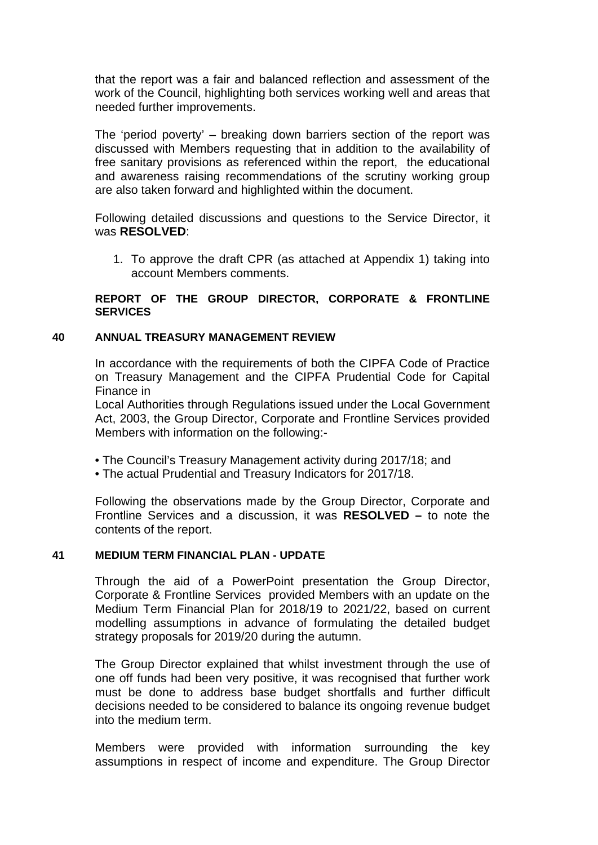that the report was a fair and balanced reflection and assessment of the work of the Council, highlighting both services working well and areas that needed further improvements.

The 'period poverty' – breaking down barriers section of the report was discussed with Members requesting that in addition to the availability of free sanitary provisions as referenced within the report, the educational and awareness raising recommendations of the scrutiny working group are also taken forward and highlighted within the document.

Following detailed discussions and questions to the Service Director, it was **RESOLVED**:

1. To approve the draft CPR (as attached at Appendix 1) taking into account Members comments.

### **REPORT OF THE GROUP DIRECTOR, CORPORATE & FRONTLINE SERVICES**

### **40 ANNUAL TREASURY MANAGEMENT REVIEW**

In accordance with the requirements of both the CIPFA Code of Practice on Treasury Management and the CIPFA Prudential Code for Capital Finance in

Local Authorities through Regulations issued under the Local Government Act, 2003, the Group Director, Corporate and Frontline Services provided Members with information on the following:-

- The Council's Treasury Management activity during 2017/18; and
- The actual Prudential and Treasury Indicators for 2017/18.

Following the observations made by the Group Director, Corporate and Frontline Services and a discussion, it was **RESOLVED –** to note the contents of the report.

### **41 MEDIUM TERM FINANCIAL PLAN - UPDATE**

Through the aid of a PowerPoint presentation the Group Director, Corporate & Frontline Services provided Members with an update on the Medium Term Financial Plan for 2018/19 to 2021/22, based on current modelling assumptions in advance of formulating the detailed budget strategy proposals for 2019/20 during the autumn.

The Group Director explained that whilst investment through the use of one off funds had been very positive, it was recognised that further work must be done to address base budget shortfalls and further difficult decisions needed to be considered to balance its ongoing revenue budget into the medium term.

Members were provided with information surrounding the key assumptions in respect of income and expenditure. The Group Director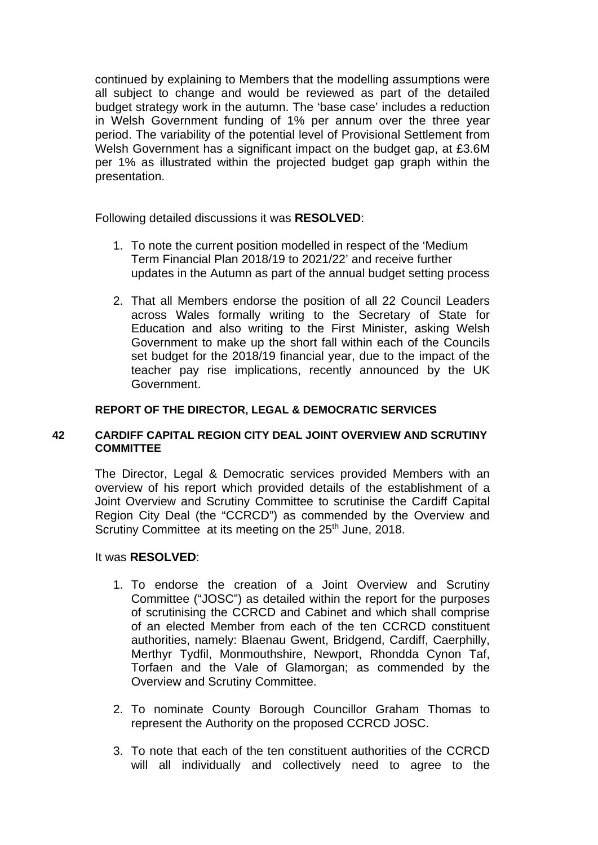continued by explaining to Members that the modelling assumptions were all subject to change and would be reviewed as part of the detailed budget strategy work in the autumn. The 'base case' includes a reduction in Welsh Government funding of 1% per annum over the three year period. The variability of the potential level of Provisional Settlement from Welsh Government has a significant impact on the budget gap, at £3.6M per 1% as illustrated within the projected budget gap graph within the presentation.

Following detailed discussions it was **RESOLVED**:

- 1. To note the current position modelled in respect of the 'Medium Term Financial Plan 2018/19 to 2021/22' and receive further updates in the Autumn as part of the annual budget setting process
- 2. That all Members endorse the position of all 22 Council Leaders across Wales formally writing to the Secretary of State for Education and also writing to the First Minister, asking Welsh Government to make up the short fall within each of the Councils set budget for the 2018/19 financial year, due to the impact of the teacher pay rise implications, recently announced by the UK Government.

### **REPORT OF THE DIRECTOR, LEGAL & DEMOCRATIC SERVICES**

### **42 CARDIFF CAPITAL REGION CITY DEAL JOINT OVERVIEW AND SCRUTINY COMMITTEE**

The Director, Legal & Democratic services provided Members with an overview of his report which provided details of the establishment of a Joint Overview and Scrutiny Committee to scrutinise the Cardiff Capital Region City Deal (the "CCRCD") as commended by the Overview and Scrutiny Committee at its meeting on the 25<sup>th</sup> June, 2018.

### It was **RESOLVED**:

- 1. To endorse the creation of a Joint Overview and Scrutiny Committee ("JOSC") as detailed within the report for the purposes of scrutinising the CCRCD and Cabinet and which shall comprise of an elected Member from each of the ten CCRCD constituent authorities, namely: Blaenau Gwent, Bridgend, Cardiff, Caerphilly, Merthyr Tydfil, Monmouthshire, Newport, Rhondda Cynon Taf, Torfaen and the Vale of Glamorgan; as commended by the Overview and Scrutiny Committee.
- 2. To nominate County Borough Councillor Graham Thomas to represent the Authority on the proposed CCRCD JOSC.
- 3. To note that each of the ten constituent authorities of the CCRCD will all individually and collectively need to agree to the